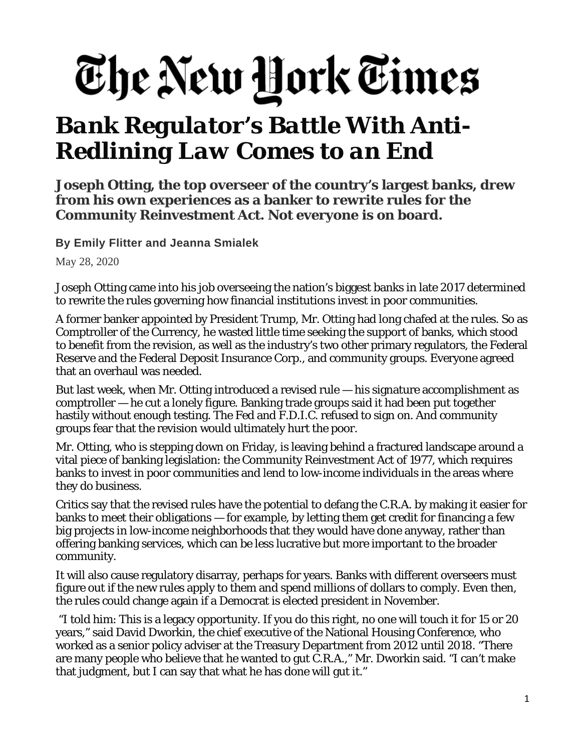## The New York Times

## *Bank Regulator's Battle With Anti-Redlining Law Comes to an End*

**Joseph Otting, the top overseer of the country's largest banks, drew from his own experiences as a banker to rewrite rules for the Community Reinvestment Act. Not everyone is on board.**

**By Emily [Flitter](https://www.nytimes.com/by/emily-flitter) and Jeanna [Smialek](https://www.nytimes.com/by/jeanna-smialek)**

May 28, 2020

Joseph Otting came into his job overseeing the nation's biggest banks in late 2017 determined to rewrite the rules governing how financial institutions invest in poor communities.

A former banker appointed by President Trump, Mr. Otting had long chafed at the rules. So as Comptroller of the Currency, he wasted little time seeking the support of banks, which stood to benefit from the revision, as well as the industry's two other primary regulators, the Federal Reserve and the Federal Deposit Insurance Corp., and community groups. Everyone agreed that an overhaul was needed.

But last week, when Mr. Otting introduced a revised rule — his signature accomplishment as comptroller — he cut a lonely figure. Banking trade groups said it had been put together hastily without enough testing. The Fed and F.D.I.C. refused to sign on. And community groups fear that the revision would ultimately hurt the poor.

Mr. Otting, who is stepping down on Friday, is leaving behind a fractured landscape around a vital piece of banking legislation: the Community Reinvestment Act of 1977, which requires banks to invest in poor communities and lend to low-income individuals in the areas where they do business.

Critics say that the revised rules have the potential to defang the C.R.A. by making it easier for banks to meet their obligations — for example, by letting them get credit for financing a few big projects in low-income neighborhoods that they would have done anyway, rather than offering banking services, which can be less lucrative but more important to the broader community.

It will also cause regulatory disarray, perhaps for years. Banks with different overseers must figure out if the new rules apply to them and spend millions of dollars to comply. Even then, the rules could change again if a Democrat is elected president in November.

"I told him: This is a legacy opportunity. If you do this right, no one will touch it for 15 or 20 years," said David Dworkin, the chief executive of the National Housing Conference, who worked as a senior policy adviser at the Treasury Department from 2012 until 2018. "There are many people who believe that he wanted to gut C.R.A.," Mr. Dworkin said. "I can't make that judgment, but I can say that what he has done will gut it."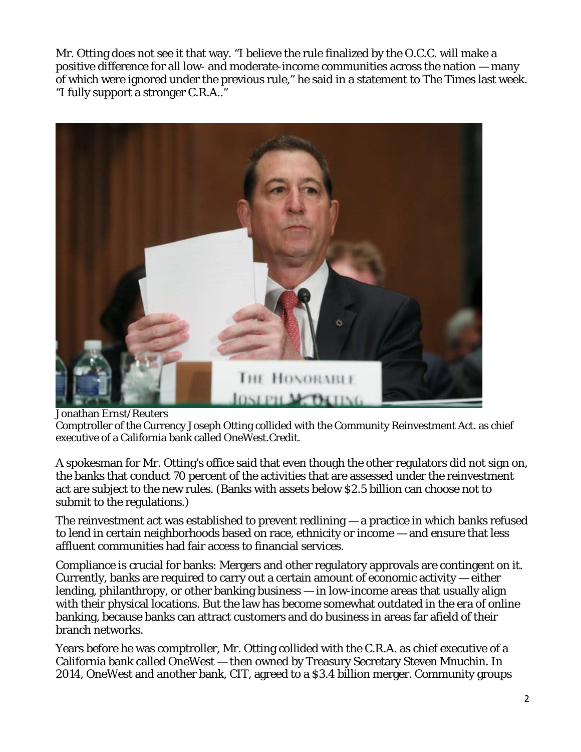Mr. Otting does not see it that way. "I believe the rule finalized by the O.C.C. will make a positive difference for all low- and moderate-income communities across the nation — many of which were ignored under the previous rule," he said in a statement to The Times last week. "I fully support a stronger C.R.A.."



Jonathan Ernst/Reuters

Comptroller of the Currency Joseph Otting collided with the Community Reinvestment Act. as chief executive of a California bank called OneWest.Credit.

A spokesman for Mr. Otting's office said that even though the other regulators did not sign on, the banks that conduct 70 percent of the activities that are assessed under the reinvestment act are subject to the new rules. (Banks with assets below \$2.5 billion can choose not to submit to the regulations.)

The reinvestment act was established to prevent redlining — a practice in which banks refused to lend in certain neighborhoods based on race, ethnicity or income — and ensure that less affluent communities had fair access to financial services.

Compliance is crucial for banks: Mergers and other regulatory approvals are contingent on it. Currently, banks are required to carry out a certain amount of economic activity — either lending, philanthropy, or other banking business — in low-income areas that usually align with their physical locations. But the law has become somewhat outdated in the era of online banking, because banks can attract customers and do business in areas far afield of their branch networks.

Years before he was comptroller, Mr. Otting collided with the C.R.A. as chief executive of a California bank called OneWest — then owned by Treasury Secretary Steven Mnuchin. In 2014, OneWest and another bank, CIT, agreed to a \$3.4 billion merger. Community groups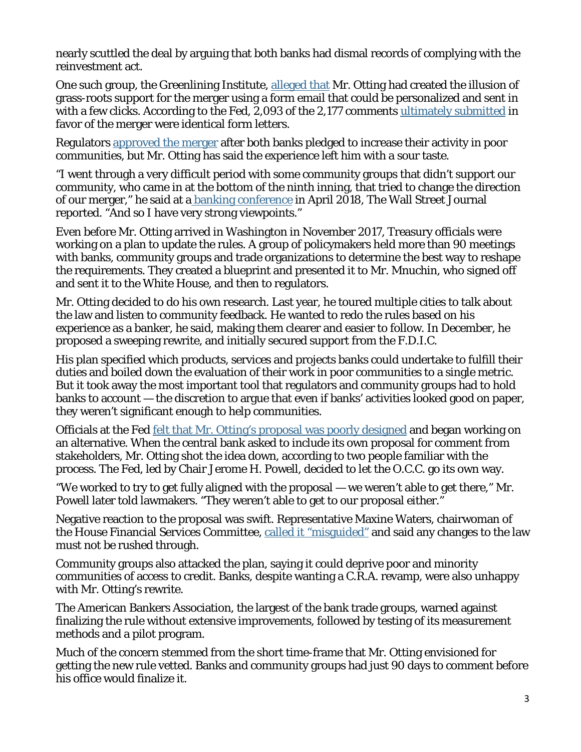nearly scuttled the deal by arguing that both banks had dismal records of complying with the reinvestment act.

One such group, the Greenlining Institute, [alleged](https://www.fmcrc.org/integrity_public_particpation_letter.pdf) that Mr. Otting had created the illusion of grass-roots support for the merger using a form email that could be personalized and sent in with a few clicks. According to the Fed, 2,093 of the 2,177 comments [ultimately](https://www.federalreserve.gov/newsevents/pressreleases/files/orders20150721a1.pdf) submitted in favor of the merger were identical form letters.

Regulators [approved](https://www.federalreserve.gov/newsevents/pressreleases/files/orders20150721a1.pdf) the merger after both banks pledged to increase their activity in poor communities, but Mr. Otting has said the experience left him with a sour taste.

"I went through a very difficult period with some community groups that didn't support our community, who came in at the bottom of the ninth inning, that tried to change the direction of our merger," he said at a banking [conference](https://www.wsj.com/articles/mnuchins-fight-with-activists-inspired-community-reinvestment-act-revamp-1537885753) in April 2018, The Wall Street Journal reported. "And so I have very strong viewpoints."

Even before Mr. Otting arrived in Washington in November 2017, Treasury officials were working on a plan to update the rules. A group of policymakers held more than 90 meetings with banks, community groups and trade organizations to determine the best way to reshape the requirements. They created a blueprint and presented it to Mr. Mnuchin, who signed off and sent it to the White House, and then to regulators.

Mr. Otting decided to do his own research. Last year, he toured multiple cities to talk about the law and listen to community feedback. He wanted to redo the rules based on his experience as a banker, he said, making them clearer and easier to follow. In December, he proposed a sweeping rewrite, and initially secured support from the F.D.I.C.

His plan specified which products, services and projects banks could undertake to fulfill their duties and boiled down the evaluation of their work in poor communities to a single metric. But it took away the most important tool that regulators and community groups had to hold banks to account — the discretion to argue that even if banks' activities looked good on paper, they weren't significant enough to help communities.

Officials at the Fed felt that Mr. Otting's proposal was poorly [designed](https://www.nytimes.com/2019/12/12/business/banks-federal-reserve-community-reinvestment-act.html) and began working on an alternative. When the central bank asked to include its own proposal for comment from stakeholders, Mr. Otting shot the idea down, according to two people familiar with the process. The Fed, led by Chair Jerome H. Powell, decided to let the O.C.C. go its own way.

"We worked to try to get fully aligned with the proposal — we weren't able to get there," Mr. Powell later told lawmakers. "They weren't able to get to our proposal either."

Negative reaction to the proposal was swift. Representative Maxine Waters, chairwoman of the House Financial Services Committee, called it ["misguided"](https://financialservices.house.gov/news/documentsingle.aspx?DocumentID=406269) and said any changes to the law must not be rushed through.

Community groups also attacked the plan, saying it could deprive poor and minority communities of access to credit. Banks, despite wanting a C.R.A. revamp, were also unhappy with Mr. Otting's rewrite.

The American Bankers Association, the largest of the bank trade groups, warned against finalizing the rule without extensive improvements, followed by testing of its measurement methods and a pilot program.

Much of the concern stemmed from the short time-frame that Mr. Otting envisioned for getting the new rule vetted. Banks and community groups had just 90 days to comment before his office would finalize it.